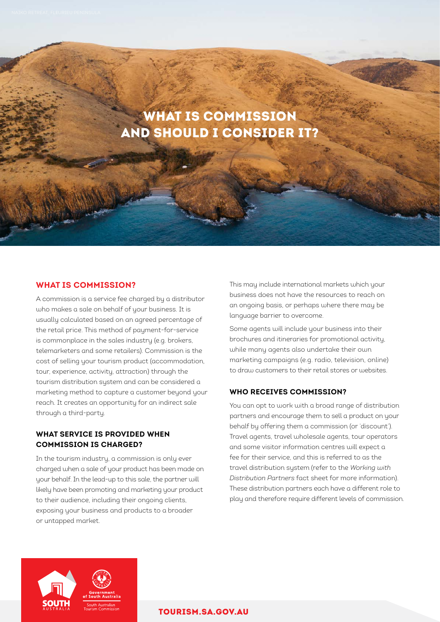# WHAT IS COMMISSION AND SHOULD I CONSIDER IT?

# **WHAT IS COMMISSION?**

A commission is a service fee charged by a distributor who makes a sale on behalf of your business. It is usually calculated based on an agreed percentage of the retail price. This method of payment-for-service is commonplace in the sales industry (e.g. brokers, telemarketers and some retailers). Commission is the cost of selling your tourism product (accommodation, tour, experience, activity, attraction) through the tourism distribution system and can be considered a marketing method to capture a customer beyond your reach. It creates an opportunity for an indirect sale through a third-party.

# **WHAT SERVICE IS PROVIDED WHEN COMMISSION IS CHARGED?**

In the tourism industry, a commission is only ever charged when a sale of your product has been made on your behalf. In the lead-up to this sale, the partner will likely have been promoting and marketing your product to their audience, including their ongoing clients, exposing your business and products to a broader or untapped market.

This may include international markets which your business does not have the resources to reach on an ongoing basis, or perhaps where there may be language barrier to overcome.

Some agents will include your business into their brochures and itineraries for promotional activity, while many agents also undertake their own marketing campaigns (e.g. radio, television, online) to draw customers to their retail stores or websites.

## **WHO RECEIVES COMMISSION?**

You can opt to work with a broad range of distribution partners and encourage them to sell a product on your behalf by offering them a commission (or 'discount'). Travel agents, travel wholesale agents, tour operators and some visitor information centres will expect a fee for their service, and this is referred to as the travel distribution system (refer to the *Working with Distribution Partners* fact sheet for more information). These distribution partners each have a different role to play and therefore require different levels of commission.



## [TOURISM.SA.GOV.AU](http://tourism.sa.gov.au)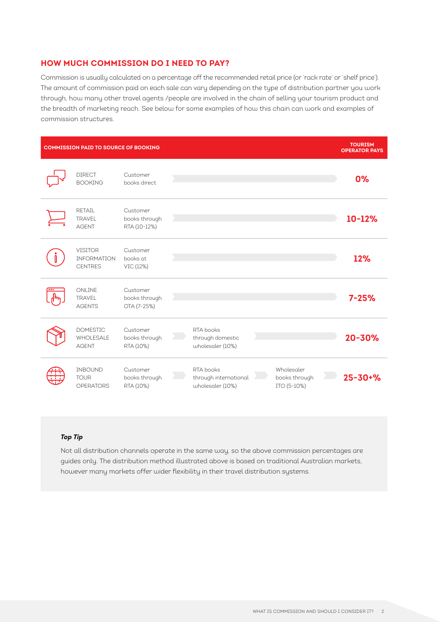## **HOW MUCH COMMISSION DO I NEED TO PAY?**

Commission is usually calculated on a percentage off the recommended retail price (or 'rack rate' or 'shelf price'). The amount of commission paid on each sale can vary depending on the type of distribution partner you work through, how many other travel agents /people are involved in the chain of selling your tourism product and the breadth of marketing reach. See below for some examples of how this chain can work and examples of commission structures.

| <b>COMMISSION PAID TO SOURCE OF BOOKING</b> |                                                        |                                           |  |                                                        |  | <b>TOURISM</b><br><b>OPERATOR PAYS</b>     |  |               |
|---------------------------------------------|--------------------------------------------------------|-------------------------------------------|--|--------------------------------------------------------|--|--------------------------------------------|--|---------------|
|                                             | <b>DIRECT</b><br><b>BOOKING</b>                        | Customer<br>books direct.                 |  |                                                        |  |                                            |  | 0%            |
|                                             | RFTAIL<br><b>TRAVEL</b><br><b>AGENT</b>                | Customer<br>books through<br>RTA (10-12%) |  |                                                        |  |                                            |  | 10-12%        |
|                                             | <b>VISITOR</b><br><b>INFORMATION</b><br><b>CENTRES</b> | Customer<br>books at<br>VIC (12%)         |  |                                                        |  |                                            |  | 12%           |
| $\overline{\bullet\bullet\bullet}$          | ONLINE<br>TRAVEL<br><b>AGENTS</b>                      | Customer<br>books through<br>OTA (7-25%)  |  |                                                        |  |                                            |  | $7 - 25%$     |
|                                             | <b>DOMESTIC</b><br>WHOLESALE<br><b>AGENT</b>           | Customer<br>books through<br>RTA (10%)    |  | RTA books<br>through domestic<br>wholesaler (10%)      |  |                                            |  | 20-30%        |
|                                             | <b>INBOUND</b><br><b>TOUR</b><br><b>OPERATORS</b>      | Customer<br>books through<br>RTA (10%)    |  | RTA books<br>through international<br>wholesaler (10%) |  | Wholesaler<br>books through<br>ITO (5-10%) |  | $25 - 30 + %$ |

## *Top Tip*

Not all distribution channels operate in the same way, so the above commission percentages are guides only. The distribution method illustrated above is based on traditional Australian markets, however many markets offer wider flexibility in their travel distribution systems.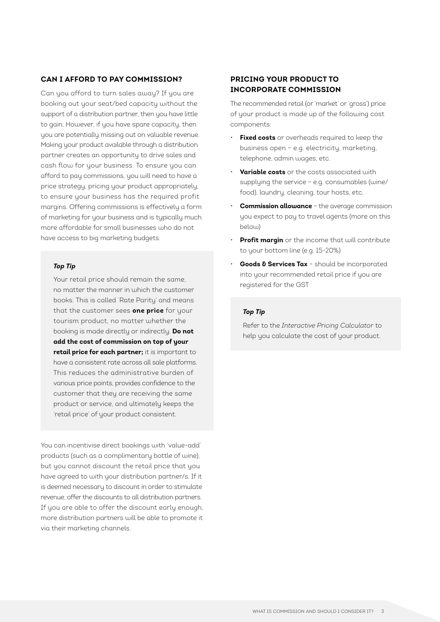## **CAN I AFFORD TO PAY COMMISSION?**

Can you afford to turn sales away? If you are booking out your seat/bed capacity without the support of a distribution partner, then you have little to gain; However, if you have spare capacity, then you are potentially missing out on valuable revenue. Making your product available through a distribution partner creates an opportunity to drive sales and cash flow for your business. To ensure you can afford to pay commissions, you will need to have a price strategy, pricing your product appropriately, to ensure your business has the required profit margins. Offering commissions is effectively a form of marketing for your business and is typically much more affordable for small businesses who do not have access to big marketing budgets.

#### *Top Tip*

Your retail price should remain the same, no matter the manner in which the customer books. This is called 'Rate Parity' and means that the customer sees **one price** for your tourism product, no matter whether the booking is made directly or indirectly. **Do not add the cost of commission on top of your retail price for each partner;** it is important to have a consistent rate across all sale platforms. This reduces the administrative burden of various price points, provides confidence to the customer that they are receiving the same product or service, and ultimately keeps the 'retail price' of your product consistent.

You can incentivise direct bookings with 'value-add' products (such as a complimentary bottle of wine), but you cannot discount the retail price that you have agreed to with your distribution partner/s. If it is deemed necessary to discount in order to stimulate revenue, offer the discounts to all distribution partners. If you are able to offer the discount early enough, more distribution partners will be able to promote it via their marketing channels.

# **PRICING YOUR PRODUCT TO INCORPORATE COMMISSION**

The recommended retail (or 'market' or 'gross') price of your product is made up of the following cost components:

- **Fixed costs** or overheads required to keep the business open – e.g. electricity, marketing, telephone, admin wages, etc.
- **Variable costs** or the costs associated with supplying the service – e.g. consumables (wine/ food), laundry, cleaning, tour hosts, etc.
- **Commission allowance** the average commission you expect to pay to travel agents (more on this below)
- **Profit margin** or the income that will contribute to your bottom line (e.g. 15-20%)
- **Goods & Services Tax** should be incorporated into your recommended retail price if you are registered for the GST

## *Top Tip*

Refer to the *Interactive Pricing Calculator* to help you calculate the cost of your product.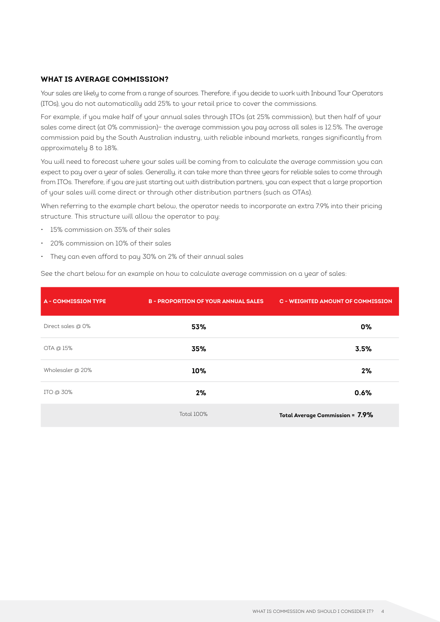## **WHAT IS AVERAGE COMMISSION?**

Your sales are likely to come from a range of sources. Therefore, if you decide to work with Inbound Tour Operators (ITOs), you do not automatically add 25% to your retail price to cover the commissions.

For example, if you make half of your annual sales through ITOs (at 25% commission), but then half of your sales come direct (at 0% commission)– the average commission you pay across all sales is 12.5%. The average commission paid by the South Australian industry, with reliable inbound markets, ranges significantly from approximately 8 to 18%.

You will need to forecast where your sales will be coming from to calculate the average commission you can expect to pay over a year of sales. Generally, it can take more than three years for reliable sales to come through from ITOs. Therefore, if you are just starting out with distribution partners, you can expect that a large proportion of your sales will come direct or through other distribution partners (such as OTAs).

When referring to the example chart below, the operator needs to incorporate an extra 7.9% into their pricing structure. This structure will allow the operator to pay:

- 15% commission on 35% of their sales
- 20% commission on 10% of their sales
- They can even afford to pay 30% on 2% of their annual sales

|                            | $\overline{\phantom{a}}$                   | $\overline{\phantom{0}}$                 |
|----------------------------|--------------------------------------------|------------------------------------------|
| <b>A - COMMISSION TYPE</b> | <b>B - PROPORTION OF YOUR ANNUAL SALES</b> | <b>C - WEIGHTED AMOUNT OF COMMISSION</b> |
| Direct sales @ 0%          | 53%                                        | 0%                                       |
| OTA @ 15%                  | 35%                                        | 3.5%                                     |
| Wholesaler @ 20%           | 10%                                        | 2%                                       |
| ITO @ 30%                  | 2%                                         | 0.6%                                     |

See the chart below for an example on how to calculate average commission on a year of sales:

Total 100% **Total Average Commission = 7.9%**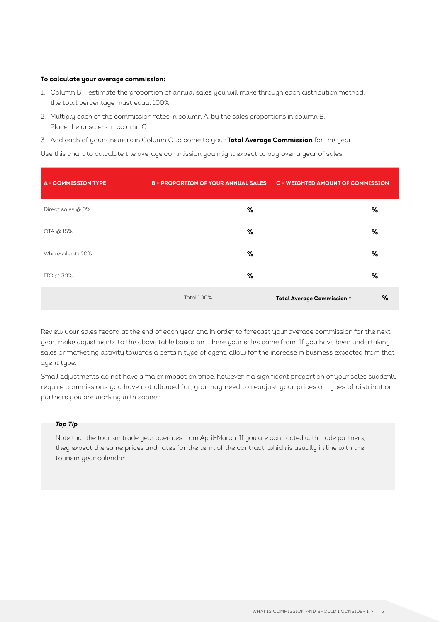#### **To calculate your average commission:**

- 1. Column B estimate the proportion of annual sales you will make through each distribution method; the total percentage must equal 100%
- 2. Multiply each of the commission rates in column A, by the sales proportions in column B. Place the answers in column C.
- 3. Add each of your answers in Column C to come to your **Total Average Commission** for the year.

Use this chart to calculate the average commission you might expect to pay over a year of sales:

| <b>A - COMMISSION TYPE</b> | B-PROPORTION OF YOUR ANNUAL SALES C-WEIGHTED AMOUNT OF COMMISSION |                                        |  |
|----------------------------|-------------------------------------------------------------------|----------------------------------------|--|
| Direct sales @ 0%          | %                                                                 | %                                      |  |
| OTA @ 15%                  | %                                                                 | %                                      |  |
| Wholesaler @ 20%           | %                                                                 | %                                      |  |
| ITO @ 30%                  | ℅                                                                 | ℅                                      |  |
|                            | <b>Total 100%</b>                                                 | %<br><b>Total Average Commission =</b> |  |

Review your sales record at the end of each year and in order to forecast your average commission for the next year, make adjustments to the above table based on where your sales came from. If you have been undertaking sales or marketing activity towards a certain type of agent, allow for the increase in business expected from that agent type.

Small adjustments do not have a major impact on price, however if a significant proportion of your sales suddenly require commissions you have not allowed for, you may need to readjust your prices or types of distribution partners you are working with sooner.

## *Top Tip*

Note that the tourism trade year operates from April-March. If you are contracted with trade partners, they expect the same prices and rates for the term of the contract, which is usually in line with the tourism year calendar.